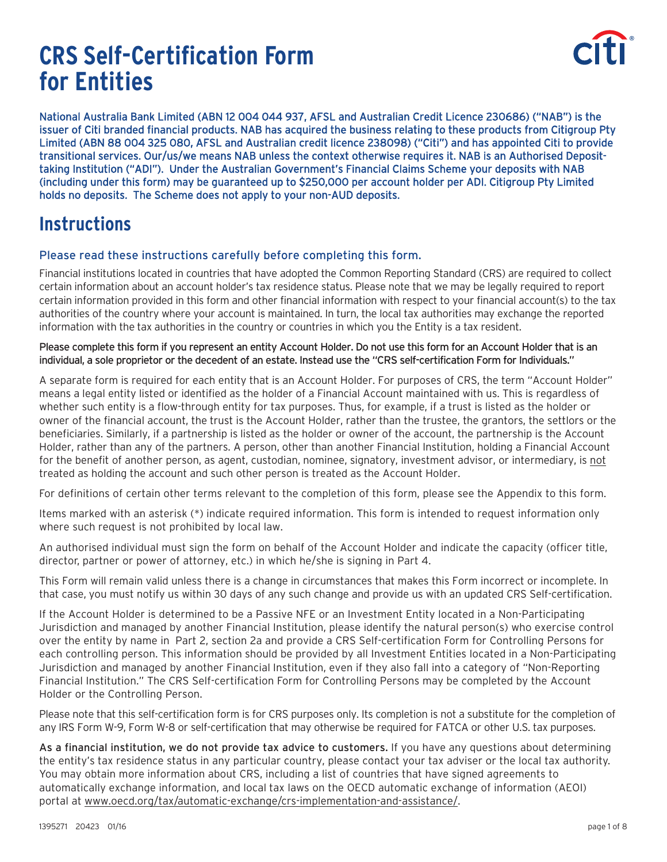

National Australia Bank Limited (ABN 12 004 044 937, AFSL and Australian Credit Licence 230686) ("NAB") is the issuer of Citi branded financial products. NAB has acquired the business relating to these products from Citigroup Pty Limited (ABN 88 004 325 080, AFSL and Australian credit licence 238098) ("Citi") and has appointed Citi to provide transitional services. Our/us/we means NAB unless the context otherwise requires it. NAB is an Authorised Deposittaking Institution ("ADI"). Under the Australian Government's Financial Claims Scheme your deposits with NAB (including under this form) may be guaranteed up to \$250,000 per account holder per ADI. Citigroup Pty Limited holds no deposits. The Scheme does not apply to your non-AUD deposits.

## **Instructions**

#### Please read these instructions carefully before completing this form.

Financial institutions located in countries that have adopted the Common Reporting Standard (CRS) are required to collect certain information about an account holder's tax residence status. Please note that we may be legally required to report certain information provided in this form and other financial information with respect to your financial account(s) to the tax authorities of the country where your account is maintained. In turn, the local tax authorities may exchange the reported information with the tax authorities in the country or countries in which you the Entity is a tax resident.

Please complete this form if you represent an entity Account Holder. Do not use this form for an Account Holder that is an individual, a sole proprietor or the decedent of an estate. Instead use the "CRS self-certification Form for Individuals."

A separate form is required for each entity that is an Account Holder. For purposes of CRS, the term "Account Holder" means a legal entity listed or identified as the holder of a Financial Account maintained with us. This is regardless of whether such entity is a flow-through entity for tax purposes. Thus, for example, if a trust is listed as the holder or owner of the financial account, the trust is the Account Holder, rather than the trustee, the grantors, the settlors or the beneficiaries. Similarly, if a partnership is listed as the holder or owner of the account, the partnership is the Account Holder, rather than any of the partners. A person, other than another Financial Institution, holding a Financial Account for the benefit of another person, as agent, custodian, nominee, signatory, investment advisor, or intermediary, is not treated as holding the account and such other person is treated as the Account Holder.

For definitions of certain other terms relevant to the completion of this form, please see the Appendix to this form.

Items marked with an asterisk (\*) indicate required information. This form is intended to request information only where such request is not prohibited by local law.

An authorised individual must sign the form on behalf of the Account Holder and indicate the capacity (officer title, director, partner or power of attorney, etc.) in which he/she is signing in Part 4.

This Form will remain valid unless there is a change in circumstances that makes this Form incorrect or incomplete. In that case, you must notify us within 30 days of any such change and provide us with an updated CRS Self-certification.

If the Account Holder is determined to be a Passive NFE or an Investment Entity located in a Non-Participating Jurisdiction and managed by another Financial Institution, please identify the natural person(s) who exercise control over the entity by name in Part 2, section 2a and provide a CRS Self-certification Form for Controlling Persons for each controlling person. This information should be provided by all Investment Entities located in a Non-Participating Jurisdiction and managed by another Financial Institution, even if they also fall into a category of "Non-Reporting Financial Institution." The CRS Self-certification Form for Controlling Persons may be completed by the Account Holder or the Controlling Person.

Please note that this self-certification form is for CRS purposes only. Its completion is not a substitute for the completion of any IRS Form W-9, Form W-8 or self-certification that may otherwise be required for FATCA or other U.S. tax purposes.

As a financial institution, we do not provide tax advice to customers. If you have any questions about determining the entity's tax residence status in any particular country, please contact your tax adviser or the local tax authority. You may obtain more information about CRS, including a list of countries that have signed agreements to automatically exchange information, and local tax laws on the OECD automatic exchange of information (AEOI) portal at www.oecd.org/tax/automatic-exchange/crs-implementation-and-assistance/.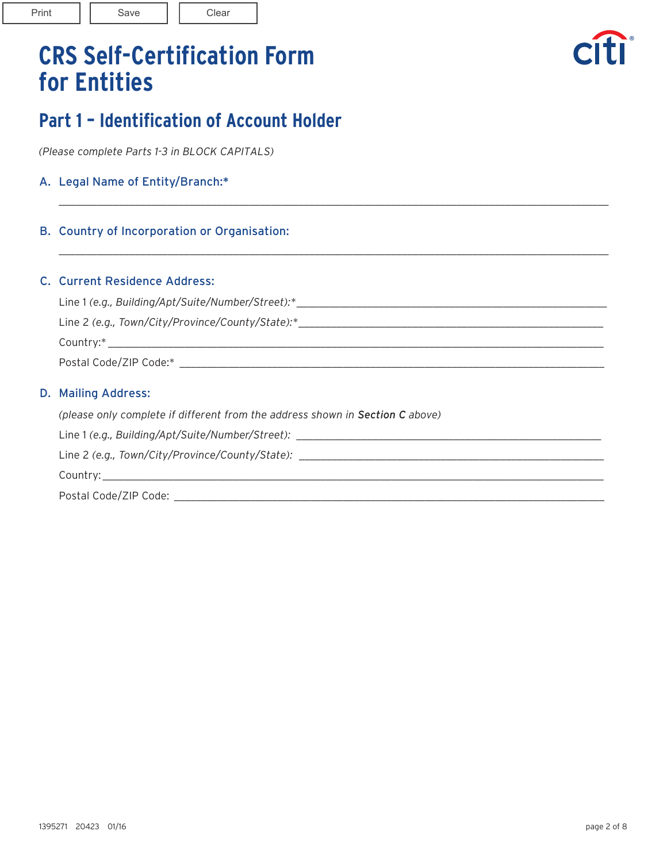

## **Part 1 – Identification of Account Holder**

*(Please complete Parts 1-3 in BLOCK CAPITALS)*

#### A. Legal Name of Entity/Branch:\*

#### B. Country of Incorporation or Organisation:

#### C. Current Residence Address:

| Line 1 (e.g., Building/Apt/Suite/Number/Street):* |
|---------------------------------------------------|
| Line 2 (e.g., Town/City/Province/County/State):*  |
| Country:*                                         |
| Postal Code/ZIP Code:*                            |

\_\_\_\_\_\_\_\_\_\_\_\_\_\_\_\_\_\_\_\_\_\_\_\_\_\_\_\_\_\_\_\_\_\_\_\_\_\_\_\_\_\_\_\_\_\_\_\_\_\_\_\_\_\_\_\_\_\_\_\_\_\_\_\_\_\_\_\_\_\_\_\_\_\_\_\_\_\_\_\_\_\_\_\_\_\_\_\_\_\_\_\_\_\_\_\_\_\_\_\_\_

\_\_\_\_\_\_\_\_\_\_\_\_\_\_\_\_\_\_\_\_\_\_\_\_\_\_\_\_\_\_\_\_\_\_\_\_\_\_\_\_\_\_\_\_\_\_\_\_\_\_\_\_\_\_\_\_\_\_\_\_\_\_\_\_\_\_\_\_\_\_\_\_\_\_\_\_\_\_\_\_\_\_\_\_\_\_\_\_\_\_\_\_\_\_\_\_\_\_\_\_\_

#### D. Mailing Address:

*(please only complete if different from the address shown in Section C above)* Line 1 *(e.g., Building/Apt/Suite/Number/Street)*: \_\_\_\_\_\_\_\_\_\_\_\_\_\_\_\_\_\_\_\_\_\_\_\_\_\_\_\_\_\_\_ Line 2 (e.g., Town/City/Province/County/State): <u>\_\_\_\_\_\_\_\_\_\_\_\_\_\_\_\_\_\_\_\_\_\_\_\_\_\_\_\_\_\_\_\_</u> Country: \_\_\_\_\_\_\_\_\_\_\_\_\_\_\_\_\_\_\_\_\_\_\_\_\_\_\_\_\_\_\_\_\_\_\_\_\_\_\_\_\_\_\_\_\_\_\_\_\_\_\_\_\_\_\_\_\_\_\_\_\_\_\_\_\_\_\_\_\_\_\_\_\_\_\_\_\_\_\_\_\_\_\_\_\_\_\_\_\_\_\_\_ Postal Code/ZIP Code: \_\_\_\_\_\_\_\_\_\_\_\_\_\_\_\_\_\_\_\_\_\_\_\_\_\_\_\_\_\_\_\_\_\_\_\_\_\_\_\_\_\_\_\_\_\_\_\_\_\_\_\_\_\_\_\_\_\_\_\_\_\_\_\_\_\_\_\_\_\_\_\_\_\_\_\_\_\_\_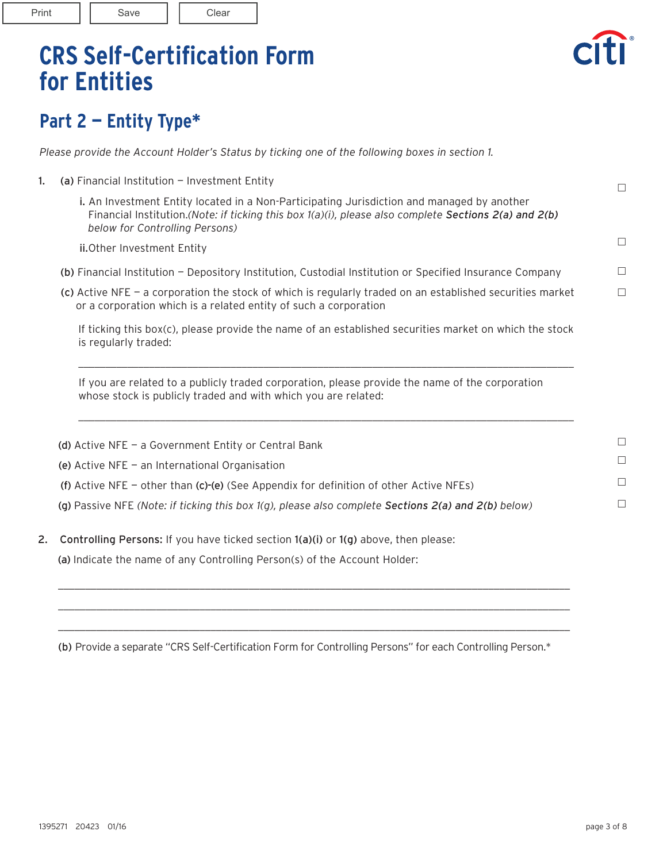Print | Save | Clear

## **CRS Self-Certification Form for Entities**



## **Part 2 — Entity Type\***

*Please provide the Account Holder's Status by ticking one of the following boxes in section 1.* 

| 1. | (a) Financial Institution $-$ Investment Entity                                                                                                                                                                                           | $\Box$ |
|----|-------------------------------------------------------------------------------------------------------------------------------------------------------------------------------------------------------------------------------------------|--------|
|    | i. An Investment Entity located in a Non-Participating Jurisdiction and managed by another<br>Financial Institution. (Note: if ticking this box $1(a)(i)$ , please also complete Sections 2(a) and 2(b)<br>below for Controlling Persons) |        |
|    | ii.Other Investment Entity                                                                                                                                                                                                                | $\Box$ |
|    | (b) Financial Institution - Depository Institution, Custodial Institution or Specified Insurance Company                                                                                                                                  | $\Box$ |
|    | (c) Active NFE $-$ a corporation the stock of which is regularly traded on an established securities market<br>or a corporation which is a related entity of such a corporation                                                           | $\Box$ |
|    | If ticking this box(c), please provide the name of an established securities market on which the stock<br>is regularly traded:                                                                                                            |        |
|    | If you are related to a publicly traded corporation, please provide the name of the corporation<br>whose stock is publicly traded and with which you are related:                                                                         |        |
|    | (d) Active NFE $-$ a Government Entity or Central Bank                                                                                                                                                                                    | $\Box$ |
|    | (e) Active NFE $-$ an International Organisation                                                                                                                                                                                          | $\Box$ |
|    | (f) Active NFE $-$ other than (c)-(e) (See Appendix for definition of other Active NFEs)                                                                                                                                                  | $\Box$ |
|    | (g) Passive NFE (Note: if ticking this box 1(g), please also complete Sections 2(a) and 2(b) below)                                                                                                                                       | □      |
| 2. | Controlling Persons: If you have ticked section 1(a)(i) or 1(g) above, then please:                                                                                                                                                       |        |

(a) Indicate the name of any Controlling Person(s) of the Account Holder:

(b) Provide a separate "CRS Self-Certification Form for Controlling Persons" for each Controlling Person.\*

\_\_\_\_\_\_\_\_\_\_\_\_\_\_\_\_\_\_\_\_\_\_\_\_\_\_\_\_\_\_\_\_\_\_\_\_\_\_\_\_\_\_\_\_\_\_\_\_\_\_\_\_\_\_\_\_\_\_\_\_\_\_\_\_\_\_\_\_\_\_\_\_\_\_\_\_\_\_\_\_\_\_\_\_\_\_\_\_\_\_\_\_\_\_ \_\_\_\_\_\_\_\_\_\_\_\_\_\_\_\_\_\_\_\_\_\_\_\_\_\_\_\_\_\_\_\_\_\_\_\_\_\_\_\_\_\_\_\_\_\_\_\_\_\_\_\_\_\_\_\_\_\_\_\_\_\_\_\_\_\_\_\_\_\_\_\_\_\_\_\_\_\_\_\_\_\_\_\_\_\_\_\_\_\_\_\_\_\_ \_\_\_\_\_\_\_\_\_\_\_\_\_\_\_\_\_\_\_\_\_\_\_\_\_\_\_\_\_\_\_\_\_\_\_\_\_\_\_\_\_\_\_\_\_\_\_\_\_\_\_\_\_\_\_\_\_\_\_\_\_\_\_\_\_\_\_\_\_\_\_\_\_\_\_\_\_\_\_\_\_\_\_\_\_\_\_\_\_\_\_\_\_\_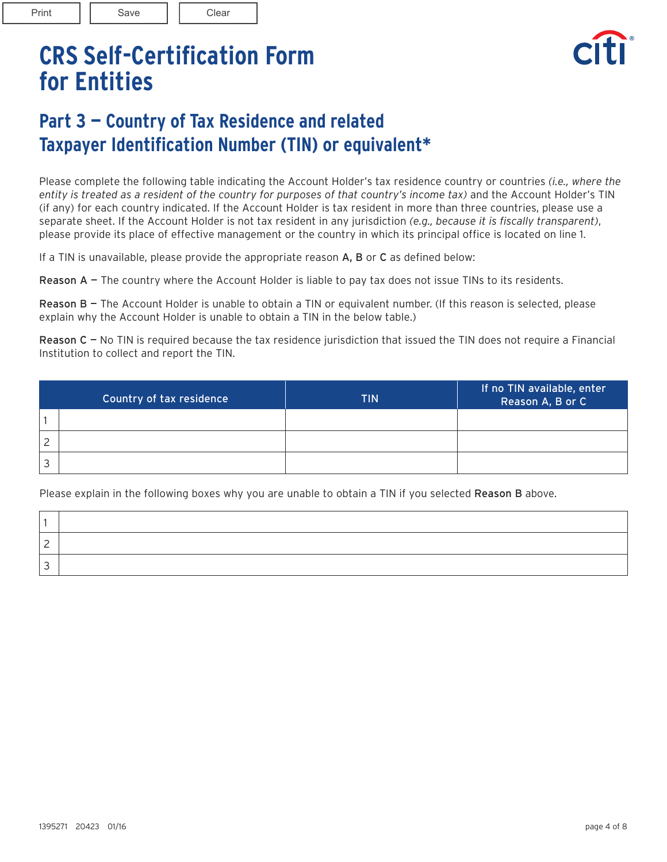

## **Part 3 — Country of Tax Residence and related Taxpayer Identification Number (TIN) or equivalent\***

Please complete the following table indicating the Account Holder's tax residence country or countries *(i.e., where the entity is treated as a resident of the country for purposes of that country's income tax)* and the Account Holder's TIN (if any) for each country indicated. If the Account Holder is tax resident in more than three countries, please use a separate sheet. If the Account Holder is not tax resident in any jurisdiction *(e.g., because it is fiscally transparent)*, please provide its place of effective management or the country in which its principal office is located on line 1.

If a TIN is unavailable, please provide the appropriate reason A, B or C as defined below:

Reason A – The country where the Account Holder is liable to pay tax does not issue TINs to its residents.

Reason  $B -$  The Account Holder is unable to obtain a TIN or equivalent number. (If this reason is selected, please explain why the Account Holder is unable to obtain a TIN in the below table.)

Reason  $C - No$  TIN is required because the tax residence jurisdiction that issued the TIN does not require a Financial Institution to collect and report the TIN.

|   | Country of tax residence | TIN | If no TIN available, enter<br>Reason A, B or C |
|---|--------------------------|-----|------------------------------------------------|
|   |                          |     |                                                |
|   |                          |     |                                                |
| ◠ |                          |     |                                                |

Please explain in the following boxes why you are unable to obtain a TIN if you selected **Reason B** above.

| . . |  |
|-----|--|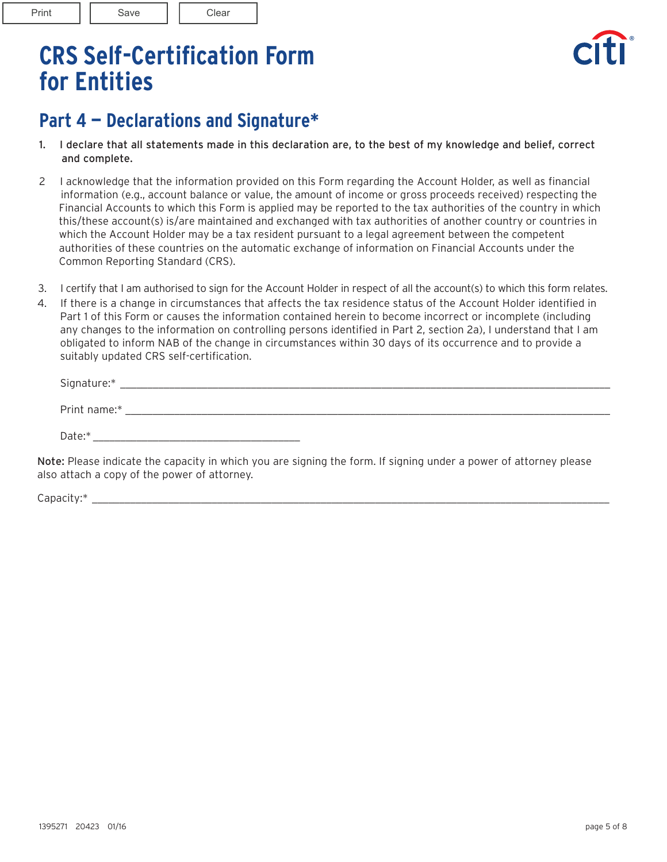

## **Part 4 — Declarations and Signature\***

- 1. I declare that all statements made in this declaration are, to the best of my knowledge and belief, correct and complete.
- 2 I acknowledge that the information provided on this Form regarding the Account Holder, as well as financial information (e.g., account balance or value, the amount of income or gross proceeds received) respecting the Financial Accounts to which this Form is applied may be reported to the tax authorities of the country in which this/these account(s) is/are maintained and exchanged with tax authorities of another country or countries in which the Account Holder may be a tax resident pursuant to a legal agreement between the competent authorities of these countries on the automatic exchange of information on Financial Accounts under the Common Reporting Standard (CRS).
- 3. I certify that I am authorised to sign for the Account Holder in respect of all the account(s) to which this form relates.
- 4. If there is a change in circumstances that affects the tax residence status of the Account Holder identified in Part 1 of this Form or causes the information contained herein to become incorrect or incomplete (including any changes to the information on controlling persons identified in Part 2, section 2a), I understand that I am obligated to inform NAB of the change in circumstances within 30 days of its occurrence and to provide a suitably updated CRS self-certification.

| Signature:*  |  |  |
|--------------|--|--|
| Print name:* |  |  |
| Date:*       |  |  |

Note: Please indicate the capacity in which you are signing the form. If signing under a power of attorney please also attach a copy of the power of attorney.

Capacity:\* \_\_\_\_\_\_\_\_\_\_\_\_\_\_\_\_\_\_\_\_\_\_\_\_\_\_\_\_\_\_\_\_\_\_\_\_\_\_\_\_\_\_\_\_\_\_\_\_\_\_\_\_\_\_\_\_\_\_\_\_\_\_\_\_\_\_\_\_\_\_\_\_\_\_\_\_\_\_\_\_\_\_\_\_\_\_\_\_\_\_\_\_\_\_\_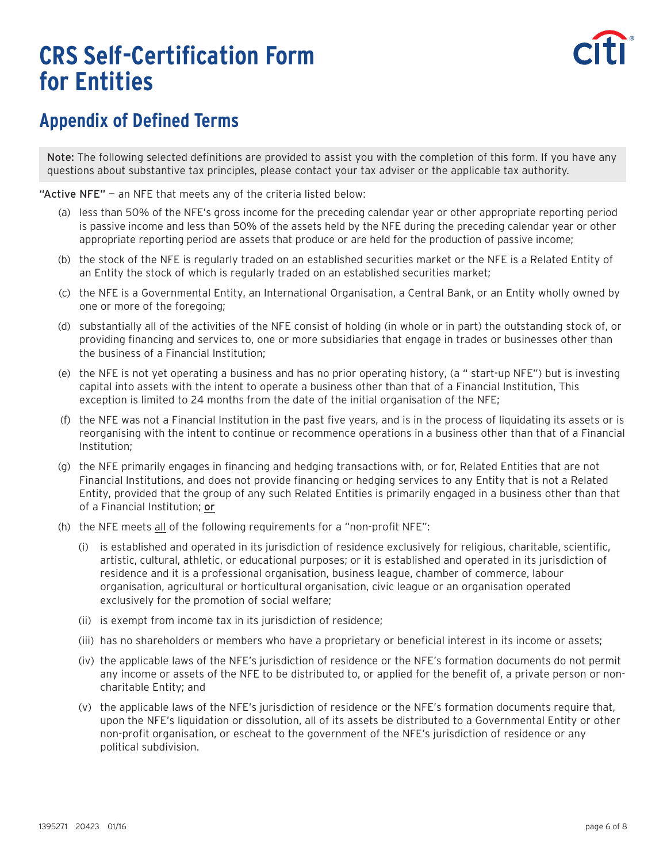

## **Appendix of Defined Terms**

Note: The following selected definitions are provided to assist you with the completion of this form. If you have any questions about substantive tax principles, please contact your tax adviser or the applicable tax authority.

"Active NFE" — an NFE that meets any of the criteria listed below:

- (a) less than 50% of the NFE's gross income for the preceding calendar year or other appropriate reporting period is passive income and less than 50% of the assets held by the NFE during the preceding calendar year or other appropriate reporting period are assets that produce or are held for the production of passive income;
- (b) the stock of the NFE is regularly traded on an established securities market or the NFE is a Related Entity of an Entity the stock of which is regularly traded on an established securities market;
- (c) the NFE is a Governmental Entity, an International Organisation, a Central Bank, or an Entity wholly owned by one or more of the foregoing;
- (d) substantially all of the activities of the NFE consist of holding (in whole or in part) the outstanding stock of, or providing financing and services to, one or more subsidiaries that engage in trades or businesses other than the business of a Financial Institution;
- (e) the NFE is not yet operating a business and has no prior operating history, (a " start-up NFE") but is investing capital into assets with the intent to operate a business other than that of a Financial Institution, This exception is limited to 24 months from the date of the initial organisation of the NFE;
- (f) the NFE was not a Financial Institution in the past five years, and is in the process of liquidating its assets or is reorganising with the intent to continue or recommence operations in a business other than that of a Financial Institution;
- (g) the NFE primarily engages in financing and hedging transactions with, or for, Related Entities that are not Financial Institutions, and does not provide financing or hedging services to any Entity that is not a Related Entity, provided that the group of any such Related Entities is primarily engaged in a business other than that of a Financial Institution; or
- (h) the NFE meets all of the following requirements for a "non-profit NFE":
	- (i) is established and operated in its jurisdiction of residence exclusively for religious, charitable, scientific, artistic, cultural, athletic, or educational purposes; or it is established and operated in its jurisdiction of residence and it is a professional organisation, business league, chamber of commerce, labour organisation, agricultural or horticultural organisation, civic league or an organisation operated exclusively for the promotion of social welfare;
	- (ii) is exempt from income tax in its jurisdiction of residence;
	- (iii) has no shareholders or members who have a proprietary or beneficial interest in its income or assets;
	- (iv) the applicable laws of the NFE's jurisdiction of residence or the NFE's formation documents do not permit any income or assets of the NFE to be distributed to, or applied for the benefit of, a private person or noncharitable Entity; and
	- (v) the applicable laws of the NFE's jurisdiction of residence or the NFE's formation documents require that, upon the NFE's liquidation or dissolution, all of its assets be distributed to a Governmental Entity or other non-profit organisation, or escheat to the government of the NFE's jurisdiction of residence or any political subdivision.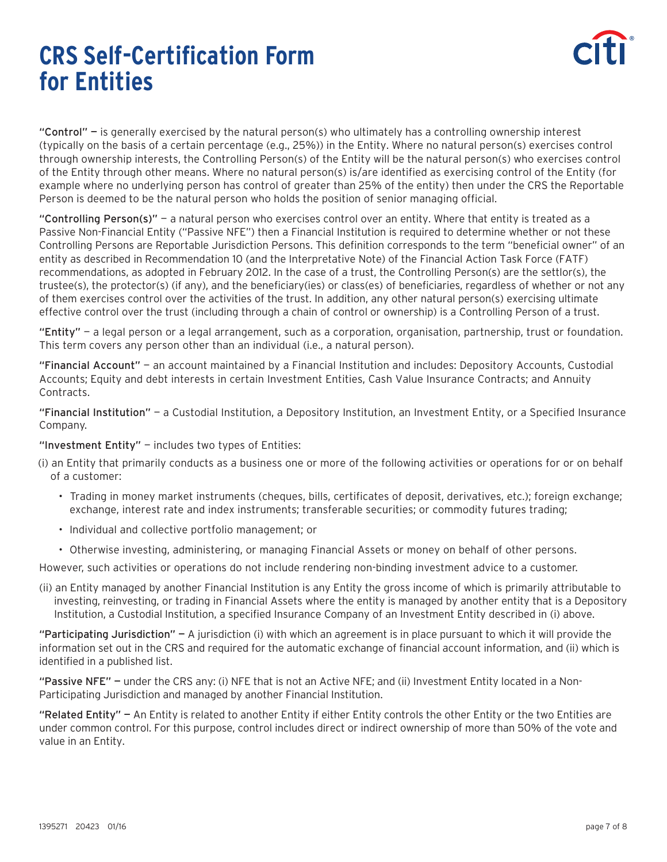

"Control" — is generally exercised by the natural person(s) who ultimately has a controlling ownership interest (typically on the basis of a certain percentage (e.g., 25%)) in the Entity. Where no natural person(s) exercises control through ownership interests, the Controlling Person(s) of the Entity will be the natural person(s) who exercises control of the Entity through other means. Where no natural person(s) is/are identified as exercising control of the Entity (for example where no underlying person has control of greater than 25% of the entity) then under the CRS the Reportable Person is deemed to be the natural person who holds the position of senior managing official.

"Controlling Person(s)" – a natural person who exercises control over an entity. Where that entity is treated as a Passive Non-Financial Entity ("Passive NFE") then a Financial Institution is required to determine whether or not these Controlling Persons are Reportable Jurisdiction Persons. This definition corresponds to the term "beneficial owner" of an entity as described in Recommendation 10 (and the Interpretative Note) of the Financial Action Task Force (FATF) recommendations, as adopted in February 2012. In the case of a trust, the Controlling Person(s) are the settlor(s), the trustee(s), the protector(s) (if any), and the beneficiary(ies) or class(es) of beneficiaries, regardless of whether or not any of them exercises control over the activities of the trust. In addition, any other natural person(s) exercising ultimate effective control over the trust (including through a chain of control or ownership) is a Controlling Person of a trust.

"Entity" — a legal person or a legal arrangement, such as a corporation, organisation, partnership, trust or foundation. This term covers any person other than an individual (i.e., a natural person).

"Financial Account" — an account maintained by a Financial Institution and includes: Depository Accounts, Custodial Accounts; Equity and debt interests in certain Investment Entities, Cash Value Insurance Contracts; and Annuity Contracts.

"Financial Institution" — a Custodial Institution, a Depository Institution, an Investment Entity, or a Specified Insurance Company.

#### "Investment Entity" — includes two types of Entities:

- (i) an Entity that primarily conducts as a business one or more of the following activities or operations for or on behalf of a customer:
	- Trading in money market instruments (cheques, bills, certificates of deposit, derivatives, etc.); foreign exchange; exchange, interest rate and index instruments; transferable securities; or commodity futures trading;
	- Individual and collective portfolio management; or
	- Otherwise investing, administering, or managing Financial Assets or money on behalf of other persons.

However, such activities or operations do not include rendering non-binding investment advice to a customer.

(ii) an Entity managed by another Financial Institution is any Entity the gross income of which is primarily attributable to investing, reinvesting, or trading in Financial Assets where the entity is managed by another entity that is a Depository Institution, a Custodial Institution, a specified Insurance Company of an Investment Entity described in (i) above.

"Participating Jurisdiction" — A jurisdiction (i) with which an agreement is in place pursuant to which it will provide the information set out in the CRS and required for the automatic exchange of financial account information, and (ii) which is identified in a published list.

"Passive NFE" — under the CRS any: (i) NFE that is not an Active NFE; and (ii) Investment Entity located in a Non-Participating Jurisdiction and managed by another Financial Institution.

"Related Entity" — An Entity is related to another Entity if either Entity controls the other Entity or the two Entities are under common control. For this purpose, control includes direct or indirect ownership of more than 50% of the vote and value in an Entity.